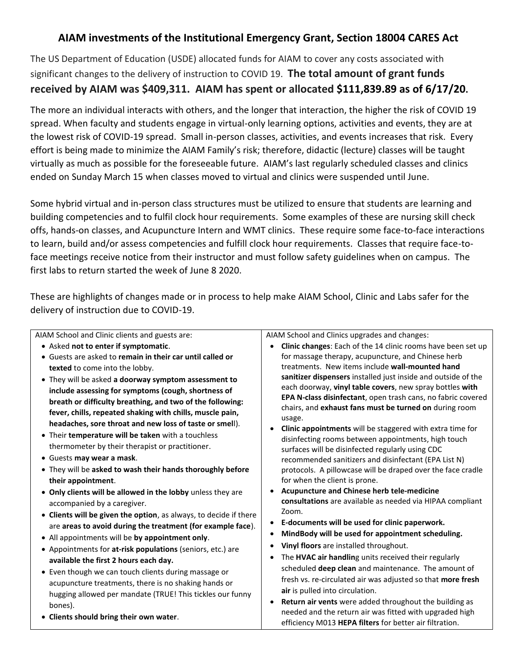## **AIAM investments of the Institutional Emergency Grant, Section 18004 CARES Act**

The US Department of Education (USDE) allocated funds for AIAM to cover any costs associated with significant changes to the delivery of instruction to COVID 19. **The total amount of grant funds received by AIAM was \$409,311. AIAM has spent or allocated \$111,839.89 as of 6/17/20.**

The more an individual interacts with others, and the longer that interaction, the higher the risk of COVID 19 spread. When faculty and students engage in virtual-only learning options, activities and events, they are at the lowest risk of COVID-19 spread. Small in-person classes, activities, and events increases that risk. Every effort is being made to minimize the AIAM Family's risk; therefore, didactic (lecture) classes will be taught virtually as much as possible for the foreseeable future. AIAM's last regularly scheduled classes and clinics ended on Sunday March 15 when classes moved to virtual and clinics were suspended until June.

Some hybrid virtual and in-person class structures must be utilized to ensure that students are learning and building competencies and to fulfil clock hour requirements. Some examples of these are nursing skill check offs, hands-on classes, and Acupuncture Intern and WMT clinics. These require some face-to-face interactions to learn, build and/or assess competencies and fulfill clock hour requirements. Classes that require face-toface meetings receive notice from their instructor and must follow safety guidelines when on campus. The first labs to return started the week of June 8 2020.

These are highlights of changes made or in process to help make AIAM School, Clinic and Labs safer for the delivery of instruction due to COVID-19.

AIAM School and Clinic clients and guests are:

- Asked **not to enter if symptomatic**.
- Guests are asked to **remain in their car until called or texted** to come into the lobby.
- They will be asked **a doorway symptom assessment to include assessing for symptoms (cough, shortness of breath or difficulty breathing, and two of the following: fever, chills, repeated shaking with chills, muscle pain, headaches, sore throat and new loss of taste or smel**l).
- Their **temperature will be taken** with a touchless thermometer by their therapist or practitioner.
- Guests **may wear a mask**.
- They will be **asked to wash their hands thoroughly before their appointment**.
- **Only clients will be allowed in the lobby** unless they are accompanied by a caregiver.
- **Clients will be given the option**, as always, to decide if there are **areas to avoid during the treatment (for example face**).
- All appointments will be **by appointment only**.
- Appointments for **at-risk populations** (seniors, etc.) are **available the first 2 hours each day.**
- Even though we can touch clients during massage or acupuncture treatments, there is no shaking hands or hugging allowed per mandate (TRUE! This tickles our funny bones).
- **Clients should bring their own water**.

AIAM School and Clinics upgrades and changes:

- **Clinic changes**: Each of the 14 clinic rooms have been set up for massage therapy, acupuncture, and Chinese herb treatments. New items include **wall-mounted hand sanitizer dispensers** installed just inside and outside of the each doorway, **vinyl table covers**, new spray bottles **with EPA N-class disinfectant**, open trash cans, no fabric covered chairs, and **exhaust fans must be turned on** during room usage.
- **Clinic appointments** will be staggered with extra time for disinfecting rooms between appointments, high touch surfaces will be disinfected regularly using CDC recommended sanitizers and disinfectant (EPA List N) protocols. A pillowcase will be draped over the face cradle for when the client is prone.
- **Acupuncture and Chinese herb tele-medicine consultations** are available as needed via HIPAA compliant Zoom.
- **E-documents will be used for clinic paperwork.**
- **MindBody will be used for appointment scheduling.**
- **Vinyl floors** are installed throughout.
- The **HVAC air handlin**g units received their regularly scheduled **deep clean** and maintenance. The amount of fresh vs. re-circulated air was adjusted so that **more fresh air** is pulled into circulation.
- **Return air vents** were added throughout the building as needed and the return air was fitted with upgraded high efficiency M013 **HEPA filters** for better air filtration.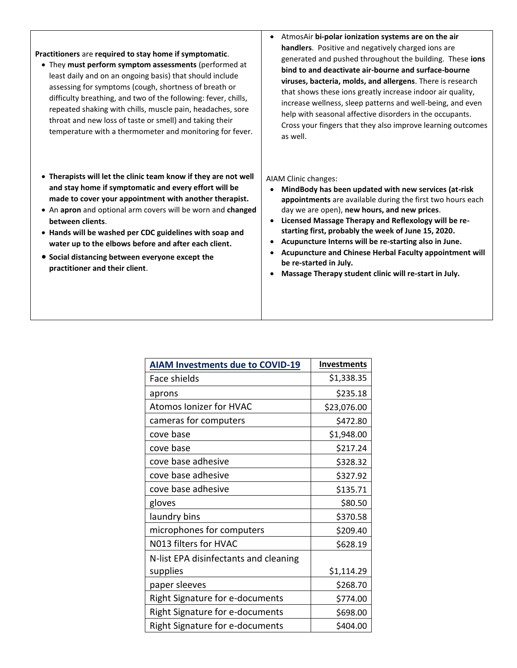## **Practitioners** are **required to stay home if symptomatic**.

- They **must perform symptom assessments** (performed at least daily and on an ongoing basis) that should include assessing for symptoms (cough, shortness of breath or difficulty breathing, and two of the following: fever, chills, repeated shaking with chills, muscle pain, headaches, sore throat and new loss of taste or smell) and taking their temperature with a thermometer and monitoring for fever.
- **Therapists will let the clinic team know if they are not well and stay home if symptomatic and every effort will be made to cover your appointment with another therapist.**
- An **apron** and optional arm covers will be worn and **changed between clients**.
- **Hands will be washed per CDC guidelines with soap and water up to the elbows before and after each client.**
- **Social distancing between everyone except the practitioner and their client**.

• AtmosAir **bi-polar ionization systems are on the air handlers**. Positive and negatively charged ions are generated and pushed throughout the building. These **ions bind to and deactivate air-bourne and surface-bourne viruses, bacteria, molds, and allergens**. There is research that shows these ions greatly increase indoor air quality, increase wellness, sleep patterns and well-being, and even help with seasonal affective disorders in the occupants. Cross your fingers that they also improve learning outcomes as well.

## AIAM Clinic changes:

- **MindBody has been updated with new services (at-risk appointments** are available during the first two hours each day we are open), **new hours, and new prices**.
- **Licensed Massage Therapy and Reflexology will be restarting first, probably the week of June 15, 2020.**
- **Acupuncture Interns will be re-starting also in June.**
- **Acupuncture and Chinese Herbal Faculty appointment will be re-started in July.**
- **Massage Therapy student clinic will re-start in July.**

| <b>AIAM Investments due to COVID-19</b> | <b>Investments</b> |
|-----------------------------------------|--------------------|
| Face shields                            | \$1,338.35         |
| aprons                                  | \$235.18           |
| <b>Atomos Ionizer for HVAC</b>          | \$23,076.00        |
| cameras for computers                   | \$472.80           |
| cove base                               | \$1,948.00         |
| cove base                               | \$217.24           |
| cove base adhesive                      | \$328.32           |
| cove base adhesive                      | \$327.92           |
| cove base adhesive                      | \$135.71           |
| gloves                                  | \$80.50            |
| laundry bins                            | \$370.58           |
| microphones for computers               | \$209.40           |
| N013 filters for HVAC                   | \$628.19           |
| N-list EPA disinfectants and cleaning   |                    |
| supplies                                | \$1,114.29         |
| paper sleeves                           | \$268.70           |
| Right Signature for e-documents         | \$774.00           |
| <b>Right Signature for e-documents</b>  | \$698.00           |
| Right Signature for e-documents         | \$404.00           |